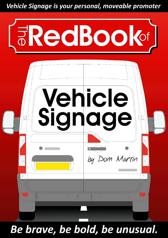Vehicle Signage is your personal, moveable promoter



Be brave, be bold, be unusual.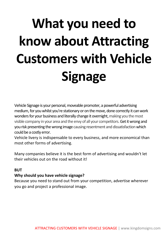# **What you need to know about Attracting Customers with Vehicle Signage**

Vehicle Signage is your personal, moveable promoter, a powerful advertising medium, for you whilst you're stationary or on the move, done correctly it can work wonders for your business and literally change it overnight, making you the most visible company in your area and the envy of all your competitors. Get it wrong and you risk presenting the wrong image causing resentment and dissatisfaction which could be a costly error.

Vehicle livery is indispensable to every business, and more economical than most other forms of advertising.

Many companies believe it is the best form of advertising and wouldn't let their vehicles out on the road without it!

#### **BUT**

#### **Why should you have vehicle signage?**

Because you need to stand out from your competition, advertise wherever you go and project a professional image.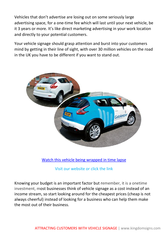Vehicles that don't advertise are losing out on some seriously large advertising space, for a one-time fee which will last until your next vehicle, be it 3 years or more. It's like direct marketing advertising in your work location and directly to your potential customers.

Your vehicle signage should grasp attention and burst into your customers mind by getting in their line of sight, with over 30 million vehicles on the road in the UK you have to be different if you want to stand out.



Watch this [vehicle being wrapped in time lapse](https://www.youtube.com/watch?v=uYx6dvLTviI)

Visit our website or click the link

Knowing your budget is an important factor but remember, it is a onetime investment, most businesses think of vehicle signage as a cost instead of an income stream, so start looking around for the cheapest prices (cheap is not always cheerful) instead of looking for a business who can help them make the most out of their business.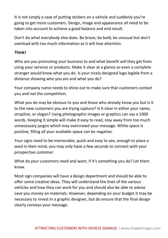It is not simply a case of putting stickers on a vehicle and suddenly you're going to get more customers. Design, image and appearance all need to be taken into account to achieve a good balance and end result.

Don't do what everybody else does. Be brave, be bold, be unusual but don't overload with too much information as it will lose attention.

#### **Think!**

Who are you promoting your business to and what benefit will they get from using your services or products. Make it clear at a glance so even a complete stranger would know what you do. Is your nicely designed logo legible from a distance showing who you are and what you do?

Your company name needs to shine out to make sure that customers contact you and not the competition.

What you do may be obvious to you and those who already know you but is it to the new customers you are trying capture? Is it clear in either your name, strapline, or slogan? Using photographic images or graphics can say a 1000 words. Keeping it simple will make it easy to read, stay away from too much unnecessary jargon which may overcrowd your message. White space is positive, filling all your available space can be negative.

Your signs need to be memorable, quick and easy to see, enough to place a seed in their mind, you may only have a few seconds to connect with your prospective customer.

What do your customers need and want, if it's something you do? Let them know.

Most sign companies will have a design department and should be able to offer some creative ideas. They will understand the lines of the various vehicles and how they can work for you and should also be able to advise save you money on materials. However, depending on your budget it may be necessary to invest in a graphic designer, but do ensure that the final design clearly conveys your message.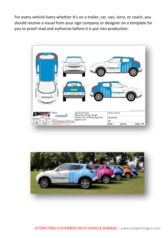For every vehicle livery whether it's on a trailer, car, van, lorry, or coach, you should receive a visual from your sign company or designer on a template for you to proof read and authorise before it is put into production.



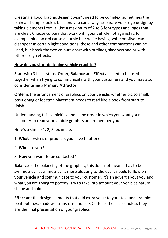Creating a good graphic design doesn't need to be complex, sometimes the plain and simple look is best and you can always separate your logo design by taking elements from it. Use a maximum of 2 to 3 font types and logos that are clear. Choose colours that work with your vehicle not against it, for example blue on red cause a purple blur while having white on silver can disappear in certain light conditions, these and other combinations can be used, but break the two colours apart with outlines, shadows and or with other design effects.

#### **How do you start designing vehicle graphics?**

Start with 3 basic steps. **Order, Balance** and **Effect** all need to be used together when trying to communicate with your customers and you may also consider using a **Primary Attractor**.

**Order** is the arrangement of graphics on your vehicle, whether big to small, positioning or location placement needs to read like a book from start to finish.

Understanding this is thinking about the order in which you want your customer to read your vehicle graphics and remember you.

Here's a simple 1, 2, 3, example.

- 1. **What** services or products you have to offer?
- 2. **Who** are you?
- 3. **How** you want to be contacted?

**Balance** is the balancing of the graphics, this does not mean it has to be symmetrical, asymmetrical is more pleasing to the eye it needs to flow on your vehicle and communicate to your customer, it's an advert about you and what you are trying to portray. Try to take into account your vehicles natural shape and colour.

**Effect** are the design elements that add extra value to your text and graphics be it outlines, shadows, transformations, 3D effects the list is endless they are the final presentation of your graphics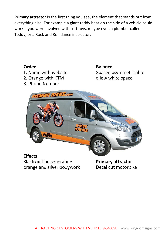**Primary attractor** is the first thing you see, the element that stands out from everything else. For example a giant teddy bear on the side of a vehicle could work if you were involved with soft toys, maybe even a plumber called Teddy, or a Rock and Roll dance instructor.



**Black outline seperating** orange and silver bodywork

**Primary attractor** Decal cut motorblke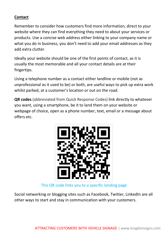#### **Contact**

Remember to consider how customers find more information, direct to your website where they can find everything they need to about your services or products. Use a concise web address either linking to your company name or what you do in business, you don't need to add your email addresses as they add extra clutter.

Ideally your website should be one of the first points of contact, as it is usually the most memorable and all your contact details are at their fingertips.

Using a telephone number as a contact either landline or mobile (not as unprofessional as it used to be) or both, are useful ways to pick up extra work whilst parked, at a customer's location or out on the road.

**QR codes** (abbreviated from Quick Response Codes) link directly to whatever you want, using a smartphone, be it to land them on your website or webpage of choice, open as a phone number, text, email or a message about offers etc.



This QR code links you to a specific landing page

Social networking or blogging sites such as Facebook, Twitter, LinkedIn are all other ways to start and stay in communication with your customers.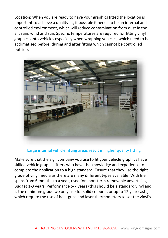**Location:** When you are ready to have your graphics fitted the location is important to achieve a quality fit, if possible it needs to be an internal and controlled environment, which will reduce contamination from dust in the air, rain, wind and sun. Specific temperatures are required for fitting vinyl graphics onto vehicles especially when wrapping vehicles, which need to be acclimatised before, during and after fitting which cannot be controlled outside.



#### Large internal vehicle fitting areas result in higher quality fitting

Make sure that the sign company you use to fit your vehicle graphics have skilled vehicle graphic fitters who have the knowledge and experience to complete the application to a high standard. Ensure that they use the right grade of vinyl media as there are many different types available. With life spans from 6 months to a year, used for short term removable advertising, Budget 1-3 years, Performance 5-7 years (this should be a standard vinyl and is the minimum grade we only use for solid colours), or up to 12 year casts, which require the use of heat guns and laser thermometers to set the vinyl's.